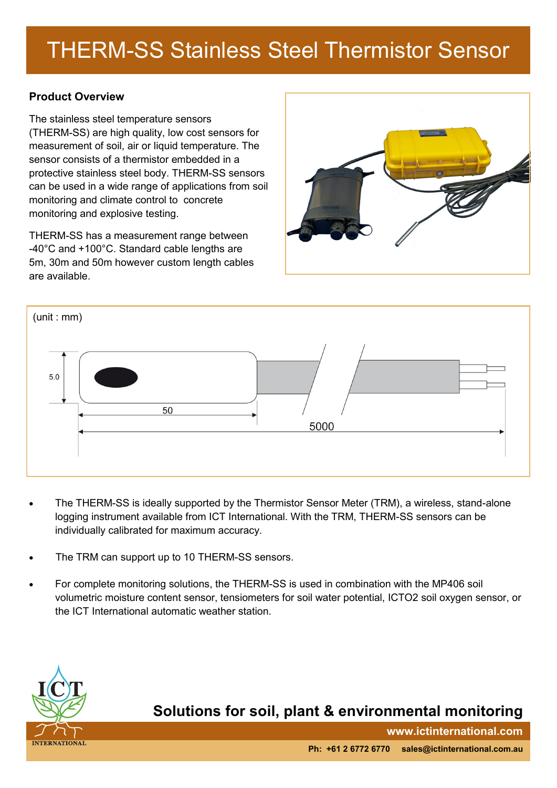## THERM-SS Stainless Steel Thermistor Sensor

### **Product Overview**

The stainless steel temperature sensors (THERM-SS) are high quality, low cost sensors for measurement of soil, air or liquid temperature. The sensor consists of a thermistor embedded in a protective stainless steel body. THERM-SS sensors can be used in a wide range of applications from soil monitoring and climate control to concrete monitoring and explosive testing.

THERM-SS has a measurement range between -40°C and +100°C. Standard cable lengths are 5m, 30m and 50m however custom length cables are available.





- The THERM-SS is ideally supported by the Thermistor Sensor Meter (TRM), a wireless, stand-alone logging instrument available from ICT International. With the TRM, THERM-SS sensors can be individually calibrated for maximum accuracy.
- The TRM can support up to 10 THERM-SS sensors.
- For complete monitoring solutions, the THERM-SS is used in combination with the MP406 soil volumetric moisture content sensor, tensiometers for soil water potential, ICTO2 soil oxygen sensor, or the ICT International automatic weather station.



### **Solutions for soil, plant & environmental monitoring**

**www.ictinternational.com**